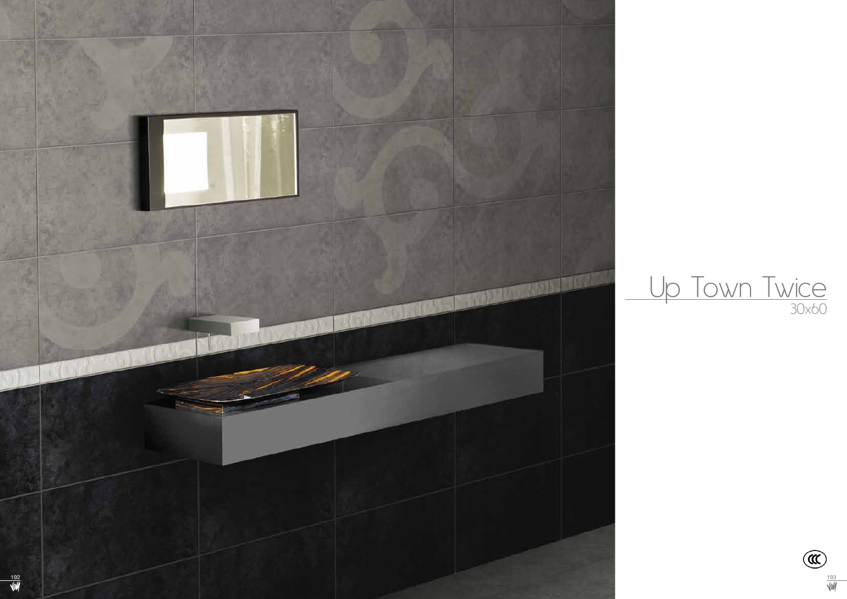



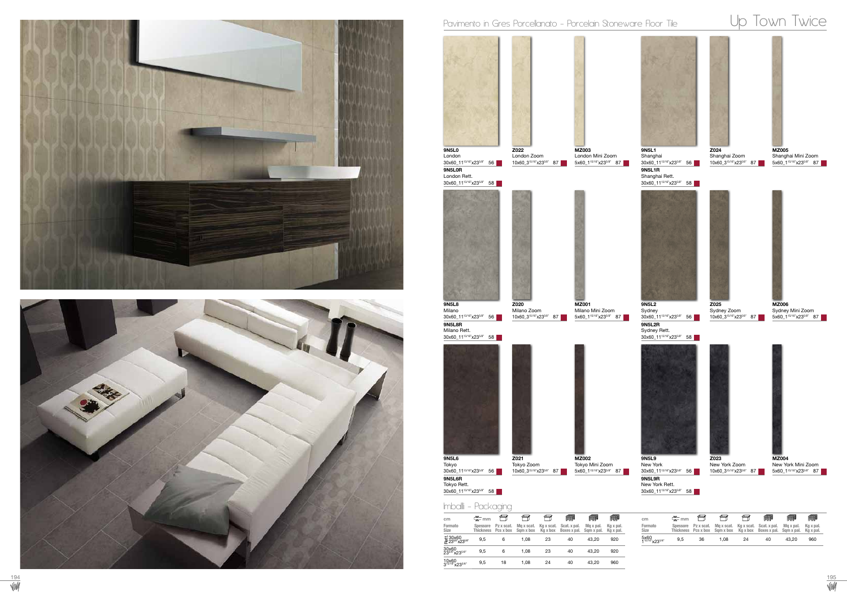



## Pavimento in Gres Porcellanato - Porcelain Stoneware Floor Tile Up Town Twice

10x60 315/16"x235/8" 9,5 18 1,08 24 40 43,20 960



| cm                                  | 주 <sub>mm</sub> |                     |      |    | ∰                                                                                                            | ∰         | 鄦         |
|-------------------------------------|-----------------|---------------------|------|----|--------------------------------------------------------------------------------------------------------------|-----------|-----------|
| Formato<br><b>Size</b>              |                 | Spessore Pz x scat. |      |    | Max scat. Kax scat. Scat. x pal.<br>Thickness Pcs x box Sqm x box Kg x box Boxes x pal. Sqm x pal. Kg x pal. | Ma x pal. | Ka x pal. |
| 5x60<br>1 <sup>15/16</sup> "x235/8" | 9.5             | 36                  | 1.08 | 24 | 40                                                                                                           | 43.20     | 960       |





9N5L2R Sydney Rett. 30x60\_11<sup>13/16"</sup>x23<sup>5/8"</sup> 58 9N5L2 Sydney 30x60\_11<sup>13/16"</sup>x23<sup>5/8"</sup> 56

9N5L9R New York Rett. 30x60\_11<sup>13/16"</sup>x23<sup>5/8"</sup> 58 9N5L9 New York 30x60\_11<sup>13/16"</sup>x23<sup>5/8"</sup> 56



New York Zoom 10x60\_3<sup>15/16"</sup>x23<sup>5/8"</sup> 87



MZ004 New York Mini Zoom 5x60\_1<sup>15/16"</sup>x23<sup>5/8"</sup> 87



Z024 Shanghai Zoom 10x60\_315/16"x235/8" 87 5x60\_115/16"x235/8" 87



MZ005 Shanghai Mini Zoom



Sydney Zoom 10x60\_315/16"x235/8" 87



MZ006 Sydney Mini Zoom 5x60\_115/16"x235/8" 87



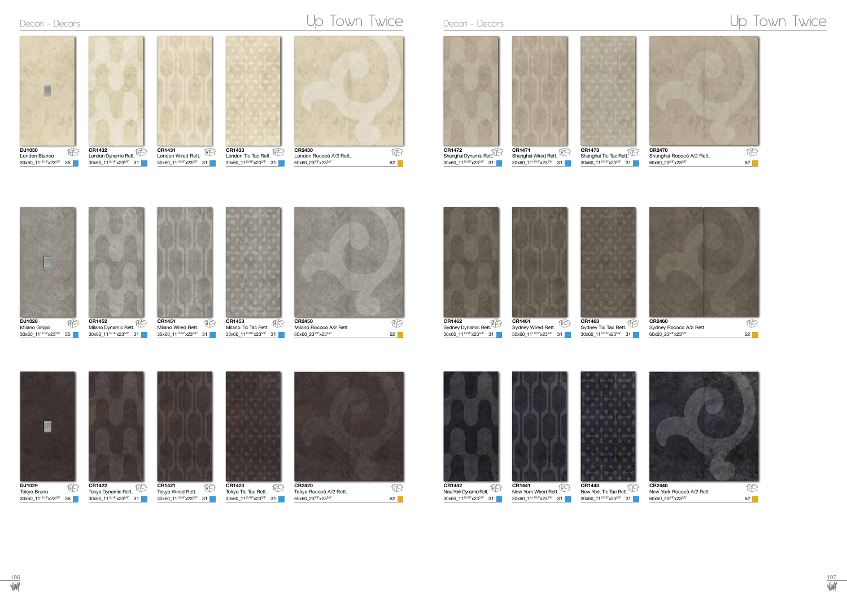30x60\_1113/16"x235/8" 31



 $60x60_23^{5/8}x23^{5/8}$ " 62

30x60\_1113/16"x235/8" 35

### CR1432 London Dynamic Rett. 6 6 6 6 6 DJ1030 London Bianco CR1431 London Wired Rett. CR1433 London Tic Tac Rett. CR2430 London Rococò A/2 Rett.

30x60\_1113/16"x235/8" 31

30x60\_1113/16"x235/8" 31

Tokyo Wired Rett. 30x60\_1113/16"x235/8" 31  $6$   $16$   $16$   $16$   $16$   $16$   $16$   $16$   $16$   $16$ 





60x60\_23<sup>5/8"</sup>x23<sup>5/8"</sup> 62 62





| ◡<br>6下 | CR14/1<br>$6$ $\sim$                           | CR1473<br>6 ∫                                        | CR2470                    | $6 \sim$ |
|---------|------------------------------------------------|------------------------------------------------------|---------------------------|----------|
|         | Shanghai Wired Rett.                           | Shanghai Tic Tac Rett.                               | Shanghai Rococò A/2 Rett. |          |
|         | 30x60 11 <sup>13/16"</sup> x23 <sup>5/8"</sup> | 30x60 11 <sup>13/16"</sup> x23 <sup>5/8"</sup><br>31 | 60x60 235/8"x235/8"       | 62       |









| Sydney Rococò A/2 Rett. |    |  |
|-------------------------|----|--|
| 60x60 235/8"x235/8"     | 62 |  |
|                         |    |  |

DJ1029 Tokyo Bruno 30x60\_1113/16"x235/8" 36

## Decori - Decors Up Town Twice Decori - Decori - Decors Up Town Twice





Tokyo Tic Tac Rett. 30x60\_1113/16"x235/8" 31



CR2420 Tokyo Rococò A/2 Rett. 60x60\_235/8"x235/8" 62



New York Dynamic Rett. 30x60\_1113/16"x235/8" 31



30x60\_1113/16"x235/8" 31



30x60\_1113/16"x235/8" 31

**Viv/** 

CR1422 Tokyo Dynamic Rett. 30x60\_1113/16"x235/8" 31